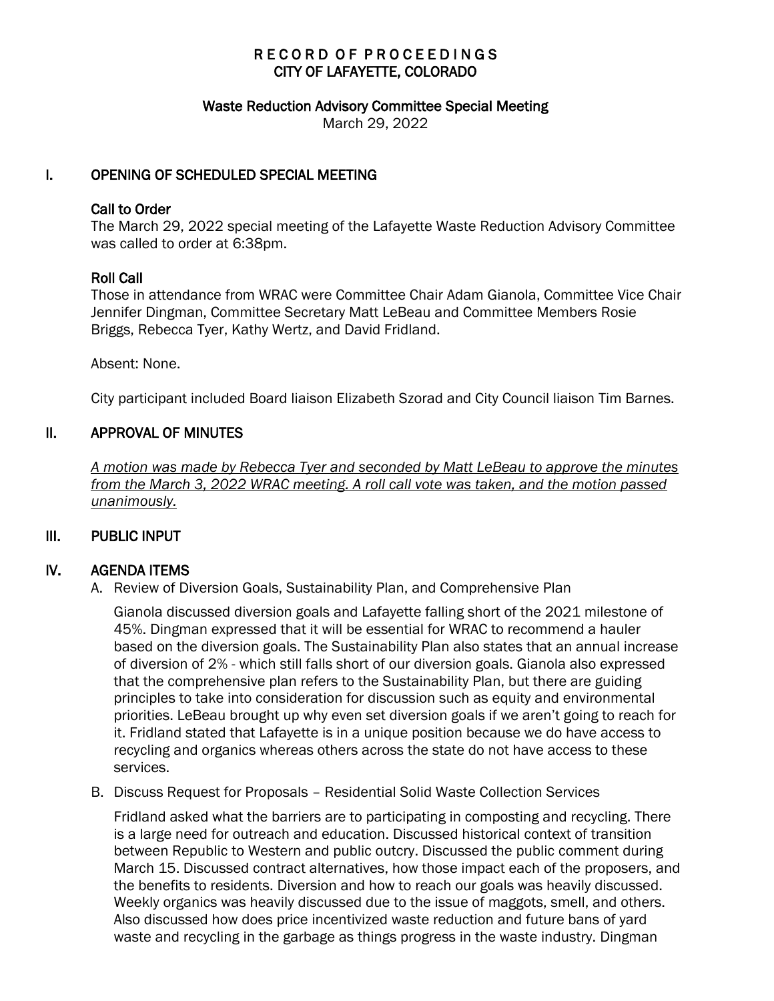# RECORD OF PROCEEDINGS CITY OF LAFAYETTE, COLORADO

#### Waste Reduction Advisory Committee Special Meeting

March 29, 2022

## I. OPENING OF SCHEDULED SPECIAL MEETING

#### Call to Order

The March 29, 2022 special meeting of the Lafayette Waste Reduction Advisory Committee was called to order at 6:38pm.

### Roll Call

Those in attendance from WRAC were Committee Chair Adam Gianola, Committee Vice Chair Jennifer Dingman, Committee Secretary Matt LeBeau and Committee Members Rosie Briggs, Rebecca Tyer, Kathy Wertz, and David Fridland.

Absent: None.

City participant included Board liaison Elizabeth Szorad and City Council liaison Tim Barnes.

### II. APPROVAL OF MINUTES

 *A motion was made by Rebecca Tyer and seconded by Matt LeBeau to approve the minutes from the March 3, 2022 WRAC meeting. A roll call vote was taken, and the motion passed unanimously.* 

## III. PUBLIC INPUT

### IV. AGENDA ITEMS

A. Review of Diversion Goals, Sustainability Plan, and Comprehensive Plan

Gianola discussed diversion goals and Lafayette falling short of the 2021 milestone of 45%. Dingman expressed that it will be essential for WRAC to recommend a hauler based on the diversion goals. The Sustainability Plan also states that an annual increase of diversion of 2% - which still falls short of our diversion goals. Gianola also expressed that the comprehensive plan refers to the Sustainability Plan, but there are guiding principles to take into consideration for discussion such as equity and environmental priorities. LeBeau brought up why even set diversion goals if we aren't going to reach for it. Fridland stated that Lafayette is in a unique position because we do have access to recycling and organics whereas others across the state do not have access to these services.

B. Discuss Request for Proposals – Residential Solid Waste Collection Services

Fridland asked what the barriers are to participating in composting and recycling. There is a large need for outreach and education. Discussed historical context of transition between Republic to Western and public outcry. Discussed the public comment during March 15. Discussed contract alternatives, how those impact each of the proposers, and the benefits to residents. Diversion and how to reach our goals was heavily discussed. Weekly organics was heavily discussed due to the issue of maggots, smell, and others. Also discussed how does price incentivized waste reduction and future bans of yard waste and recycling in the garbage as things progress in the waste industry. Dingman